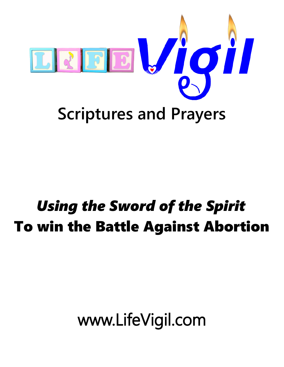

## *Using the Sword of the Spirit* To win the Battle Against Abortion

# www.LifeVigil.com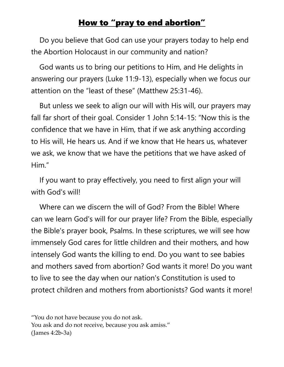## How to "pray to end abortion"

Do you believe that God can use your prayers today to help end the Abortion Holocaust in our community and nation?

God wants us to bring our petitions to Him, and He delights in answering our prayers (Luke 11:9-13), especially when we focus our attention on the "least of these" (Matthew 25:31-46).

But unless we seek to align our will with His will, our prayers may fall far short of their goal. Consider 1 John 5:14-15: "Now this is the confidence that we have in Him, that if we ask anything according to His will, He hears us. And if we know that He hears us, whatever we ask, we know that we have the petitions that we have asked of Him."

If you want to pray effectively, you need to first align your will with God's will!

Where can we discern the will of God? From the Bible! Where can we learn God's will for our prayer life? From the Bible, especially the Bible's prayer book, Psalms. In these scriptures, we will see how immensely God cares for little children and their mothers, and how intensely God wants the killing to end. Do you want to see babies and mothers saved from abortion? God wants it more! Do you want to live to see the day when our nation's Constitution is used to protect children and mothers from abortionists? God wants it more!

"You do not have because you do not ask. You ask and do not receive, because you ask amiss." (James 4:2b-3a)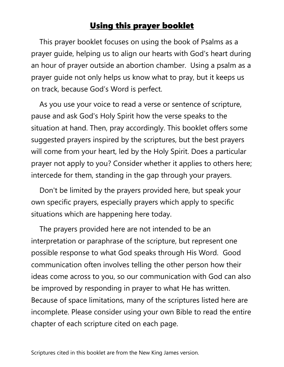## Using this prayer booklet

This prayer booklet focuses on using the book of Psalms as a prayer guide, helping us to align our hearts with God's heart during an hour of prayer outside an abortion chamber. Using a psalm as a prayer guide not only helps us know what to pray, but it keeps us on track, because God's Word is perfect.

As you use your voice to read a verse or sentence of scripture, pause and ask God's Holy Spirit how the verse speaks to the situation at hand. Then, pray accordingly. This booklet offers some suggested prayers inspired by the scriptures, but the best prayers will come from your heart, led by the Holy Spirit. Does a particular prayer not apply to you? Consider whether it applies to others here; intercede for them, standing in the gap through your prayers.

Don't be limited by the prayers provided here, but speak your own specific prayers, especially prayers which apply to specific situations which are happening here today.

The prayers provided here are not intended to be an interpretation or paraphrase of the scripture, but represent one possible response to what God speaks through His Word. Good communication often involves telling the other person how their ideas come across to you, so our communication with God can also be improved by responding in prayer to what He has written. Because of space limitations, many of the scriptures listed here are incomplete. Please consider using your own Bible to read the entire chapter of each scripture cited on each page.

Scriptures cited in this booklet are from the New King James version.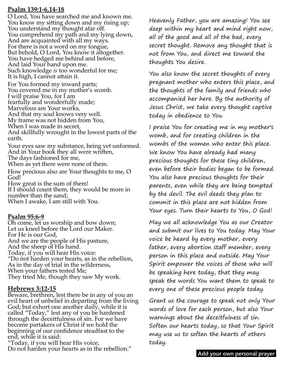#### **Psalm 139:1-6,14-18**

O Lord, You have searched me and known me*.* You know my sitting down and my rising up; You understand my thought afar off. You comprehend my path and my lying down, And are acquainted with all my ways. For there is not a word on my tongue, But behold, O Lord, You know it altogether. You have hedged me behind and before, And laid Your hand upon me. Such knowledge *is* too wonderful for me; It is high, I cannot attain it. For You formed my inward parts;

You covered me in my mother's womb. I will praise You, for I am fearfully and wonderfully made; Marvelous are Your works, And that my soul knows very well. My frame was not hidden from You, When I was made in secret, And skillfully wrought in the lowest parts of the earth. Your eyes saw my substance, being yet unformed.

And in Your book they all were written, The days fashioned for me, When as yet there were none of them.

How precious also are Your thoughts to me, O God!

How great is the sum of them! If I should count them, they would be more in number than the sand; When I awake, I am still with You.

#### **Psalm 95:6-9**

Oh come, let us worship and bow down; Let us kneel before the Lord our Maker. For He is our God, And we are the people of His pasture, And the sheep of His hand. Today, if you will hear His voice: "Do not harden your hearts, as in the rebellion, As in the day of trial in the wilderness, When your fathers tested Me; They tried Me, though they saw My work.

#### **Hebrews 3:12-15**

Beware, brethren, lest there be in any of you an evil heart of unbelief in departing from the living God; but exhort one another daily, while it is called "Today," lest any of you be hardened through the deceitfulness of sin. For we have become partakers of Christ if we hold the beginning of our confidence steadfast to the end, while it is said:

"Today, if you will hear His voice, Do not harden your hearts as in the rebellion." Heavenly Father, you are amazing! You see deep within my heart and mind right now, all of the good and all of the bad, every secret thought. Remove any thought that is not from You, and direct me toward the thoughts You desire.

You also know the secret thoughts of every pregnant mother who enters this place, and the thoughts of the family and friends who accompanied her here. By the authority of Jesus Christ, we take every thought captive today in obedience to You.

I praise You for creating me in my mother's womb, and for creating children in the wombs of the women who enter this place. We know You have already had many precious thoughts for these tiny children, even before their bodies began to be formed. You also have precious thoughts for their parents, even while they are being tempted by the devil. The evil deeds they plan to commit in this place are not hidden from Your eyes. Turn their hearts to You, O God!

May we all acknowledge You as our Creator and submit our lives to You today. May Your voice be heard by every mother, every father, every abortion staff member, every person in this place and outside. May Your Spirit empower the voices of those who will be speaking here today, that they may speak the words You want them to speak to every one of these precious people today.

Grant us the courage to speak not only Your words of love for each person, but also Your warnings about the deceitfulness of sin. Soften our hearts today, so that Your Spirit may use us to soften the hearts of others today.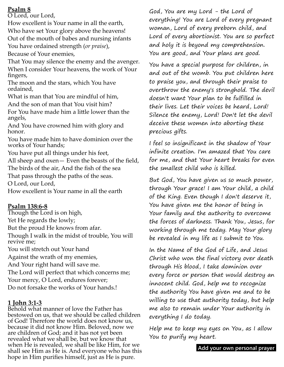O Lord, our Lord,

How excellent is Your name in all the earth, Who have set Your glory above the heavens! Out of the mouth of babes and nursing infants You have ordained strength (or praise), Because of Your enemies,

That You may silence the enemy and the avenger. When I consider Your heavens, the work of Your fingers,

The moon and the stars, which You have ordained,

What is man that You are mindful of him,

And the son of man that You visit him? For You have made him a litle lower than the angels,

And You have crowned him with glory and honor.

You have made him to have dominion over the works of Your hands;

You have put all things under his feet,

All sheep and oxen - Even the beasts of the field, The birds of the air, And the fish of the sea

That pass through the paths of the seas.

O Lord, our Lord,

How excellent is Your name in all the earth

#### **Psalm 138:6-8**

Though the Lord is on high, Yet He regards the lowly; But the proud He knows from afar. Though I walk in the midst of trouble, You will revive me; You will stretch out Your hand Against the wrath of my enemies, And Your right hand will save me. The Lord will perfect that which concerns me; Your mercy, O Lord, endures forever; Do not forsake the works of Your hands.!

#### **1 John 3:1-3**

Behold what manner of love the Father has bestowed on us, that we should be called children of God! Therefore the world does not know us, because it did not know Him. Beloved, now we are children of God; and it has not yet been revealed what we shall be, but we know that when He is revealed, we shall be like Him, for we shall see Him as He is. And everyone who has this hope in Him purifes himself, just as He is pure.

God, You are my Lord - the Lord of everything! You are Lord of every pregnant woman, Lord of every preborn child, and Lord of every abortionist. You are so perfect and holy it is beyond my comprehension. You are good, and Your plans are good.

You have a special purpose for children, in and out of the womb. You put children here to praise you, and through their praise to overthrow the enemy's stronghold. The devil doesn't want Your plan to be fulfilled in their lives. Let their voices be heard, Lord! Silence the enemy, Lord! Don't let the devil deceive these women into aborting these precious gifts.

I feel so insignificant in the shadow of Your infinite creation. I'm amazed that You care for me, and that Your heart breaks for even the smallest child who is killed.

But God, You have given us so much power, through Your grace! I am Your child, a child of the King. Even though I don't deserve it, You have given me the honor of being in Your family and the authority to overcome the forces of darkness. Thank You, Jesus, for working through me today. May Your glory be revealed in my life as I submit to You.

In the Name of the God of Life, and Jesus Christ who won the final victory over death through His blood, I take dominion over every force or person that would destroy an innocent child. God, help me to recognize the authority You have given me and to be willing to use that authority today, but help me also to remain under Your authority in everything I do today.

Help me to keep my eyes on You, as I allow You to purify my heart.

**Add your own personal prayer**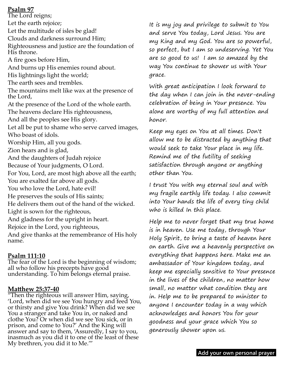**Psalm 97** The Lord reigns; Let the earth rejoice; Let the multitude of isles be glad! Clouds and darkness surround Him; Righteousness and justice are the foundation of His throne. A fire goes before Him, And burns up His enemies round about. His lightnings light the world; The earth sees and trembles. The mountains melt like wax at the presence of the Lord, At the presence of the Lord of the whole earth. The heavens declare His righteousness, And all the peoples see His glory. Let all be put to shame who serve carved images, Who boast of idols. Worship Him, all you gods. Zion hears and is glad, And the daughters of Judah rejoice Because of Your judgments, O Lord. For You, Lord, are most high above all the earth; You are exalted far above all gods. You who love the Lord, hate evil! He preserves the souls of His saints; He delivers them out of the hand of the wicked. Light is sown for the righteous, And gladness for the upright in heart. Rejoice in the Lord, you righteous, And give thanks at the remembrance of His holy name.

#### **Psalm 111:10**

The fear of the Lord is the beginning of wisdom; all who follow his precepts have good understanding. To him belongs eternal praise.

#### **Matthew 25:37-40**

 $\overline{m}$  Then the righteous will answer Him, saying, 'Lord, when did we see You hungry and feed You, or thirsty and give You drink? When did we see You a stranger and take You in, or naked and clothe You? Or when did we see You sick, or in prison, and come to You?' And the King will answer and say to them, 'Assuredly, I say to you, inasmuch as you did it to one of the least of these My brethren, you did it to Me.'"

It is my joy and privilege to submit to You and serve You today, Lord Jesus. You are my King and my God. You are so powerful, so perfect, but I am so undeserving. Yet You are so good to us! I am so amazed by the way You continue to shower us with Your grace.

With great anticipation I look forward to the day when I can join in the never-ending celebration of being in Your presence. You alone are worthy of my full attention and honor.

Keep my eyes on You at all times. Don't allow me to be distracted by anything that would seek to take Your place in my life. Remind me of the futility of seeking satisfaction through anyone or anything other than You.

I trust You with my eternal soul and with my fragile earthly life today. I also commit into Your hands the life of every tiny child who is killed In this place.

Help me to never forget that my true home is in heaven. Use me today, through Your Holy Spirit, to bring a taste of heaven here on earth. Give me a heavenly perspective on everything that happens here. Make me an ambassador of Your kingdom today, and keep me especially sensitive to Your presence in the lives of the children, no matter how small, no matter what condition they are in. Help me to be prepared to minister to anyone I encounter today in a way which acknowledges and honors You for your goodness and your grace which You so generously shower upon us.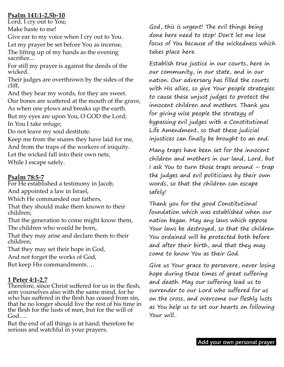#### **Psalm 141:1-2,5b-10**

Lord, I cry out to You; Make haste to me!

Give ear to my voice when I cry out to You.

Let my prayer be set before You as incense, The lifting up of my hands as the evening sacrifice...

For still my prayer is against the deeds of the wicked.

Their judges are overthrown by the sides of the clif,

And they hear my words, for they are sweet. Our bones are scattered at the mouth of the grave, As when one plows and breaks up the earth. But my eyes are upon You, O GOD the Lord; In You I take refuge;

Do not leave my soul destitute.

Keep me from the snares they have laid for me, And from the traps of the workers of iniquity. Let the wicked fall into their own nets, While I escape safely.

#### **Psalm 78:5-7**

For He established a testimony in Jacob, And appointed a law in Israel,

Which He commanded our fathers,

That they should make them known to their children;

That the generation to come might know them, The children who would be born,

That they may arise and declare them to their children,

That they may set their hope in God,

And not forget the works of God,

But keep His commandments….

#### **1 Peter 4:1-2,7**

Therefore, since Christ suffered for us in the flesh, arm yourselves also with the same mind, for he who has suffered in the flesh has ceased from sin, that he no longer should live the rest of his time in the flesh for the lusts of men, but for the will of God….

But the end of all things is at hand; therefore be serious and watchful in your prayers.

God, this is urgent! The evil things being done here need to stop! Don't let me lose focus of You because of the wickedness which takes place here.

Establish true justice in our courts, here in our community, in our state, and in our nation. Our adversary has filled the courts with His allies, so give Your people strategies to cause these unjust judges to protect the innocent children and mothers. Thank you for giving wise people the strategy of bypassing evil judges with a Constitutional Life Amendment, so that these judicial injustices can finally be brought to an end.

Many traps have been set for the innocent children and mothers in our land, Lord, but I ask You to turn those traps around – trap the judges and evil politicians by their own words, so that the children can escape safely!

Thank you for the good Constitutional foundation which was established when our nation began. May any laws which oppose Your laws be destroyed, so that the children You ordained will be protected both before and after their birth, and that they may come to know You as their God.

Give us Your grace to persevere, never losing hope during these times of great suffering and death. May our suffering lead us to surrender to our Lord who suffered for us on the cross, and overcome our fleshly lusts as You help us to set our hearts on following Your will..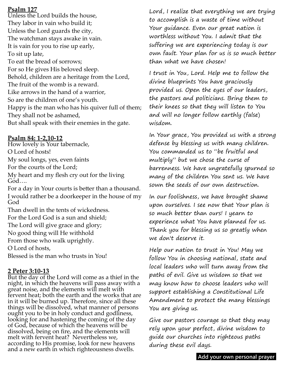Unless the Lord builds the house, They labor in vain who build it; Unless the Lord guards the city, The watchman stays awake in vain. It is vain for you to rise up early, To sit up late, To eat the bread of sorrows; For so He gives His beloved sleep. Behold, children are a heritage from the Lord, The fruit of the womb is a reward. Like arrows in the hand of a warrior, So are the children of one's youth. Happy is the man who has his quiver full of them; They shall not be ashamed, But shall speak with their enemies in the gate.

#### **Psalm 84: 1-2,10-12**

How lovely is Your tabernacle, O Lord of hosts! My soul longs, yes, even faints For the courts of the Lord; My heart and my flesh cry out for the living God…. For a day in Your courts is better than a thousand.

I would rather be a doorkeeper in the house of my God

Than dwell in the tents of wickedness.

For the Lord God is a sun and shield;

The Lord will give grace and glory;

No good thing will He withhold

From those who walk uprightly.

O Lord of hosts,

Blessed is the man who trusts in You!

#### **2 Peter 3:10-13**

But the day of the Lord will come as a thief in the night, in which the heavens will pass away with a great noise, and the elements will melt with fervent heat; both the earth and the works that are in it will be burned up. Therefore, since all these things will be dissolved, what manner of persons ought you to be in holy conduct and godliness, looking for and hastening the coming of the day of God, because of which the heavens will be dissolved, being on fire, and the elements will melt with fervent heat? Nevertheless we, according to His promise, look for new heavens and a new earth in which righteousness dwells.

Lord, I realize that everything we are trying to accomplish is a waste of time without Your guidance. Even our great nation is worthless without You. I admit that the suffering we are experiencing today is our own fault. Your plan for us is so much better than what we have chosen!

I trust in You, Lord. Help me to follow the divine blueprints You have graciously provided us. Open the eyes of our leaders, the pastors and politicians. Bring them to their knees so that they will listen to You and will no longer follow earthly (false) wisdom.

In Your grace, You provided us with a strong defense by blessing us with many children. You commanded us to "be fruitful and multiply" but we chose the curse of barrenness. We have ungratefully spurned so many of the children You sent us. We have sown the seeds of our own destruction.

In our foolishness, we have brought shame upon ourselves. I see now that Your plan is so much better than ours! I yearn to experience what You have planned for us. Thank you for blessing us so greatly when we don't deserve it.

Help our nation to trust in You! May we follow You in choosing national, state and local leaders who will turn away from the paths of evil. Give us wisdom so that we may know how to choose leaders who will support establishing a Constitutional Life Amendment to protect the many blessings You are giving us.

Give our pastors courage so that they may rely upon your perfect, divine wisdom to guide our churches into righteous paths during these evil days.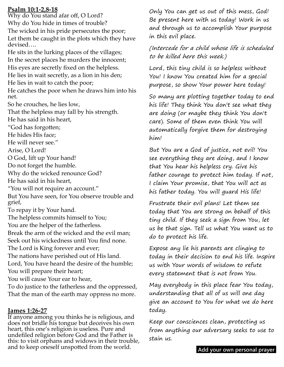#### **Psalm 10:1-2,8-18**

Why do You stand afar off, O Lord? Why do You hide in times of trouble? The wicked in his pride persecutes the poor; Let them be caught in the plots which they have devised….

He sits in the lurking places of the villages; In the secret places he murders the innocent; His eyes are secretly fxed on the helpless. He lies in wait secretly, as a lion in his den;

He lies in wait to catch the poor;

He catches the poor when he draws him into his net.

So he crouches, he lies low,

That the helpless may fall by his strength.

He has said in his heart,

"God has forgotten;

He hides His face;

He will never see."

Arise, O Lord!

O God, lift up Your hand!

Do not forget the humble.

Why do the wicked renounce God?

He has said in his heart,

"You will not require an account."

But You have seen, for You observe trouble and grief,

To repay it by Your hand.

The helpless commits himself to You; You are the helper of the fatherless.

Break the arm of the wicked and the evil man; Seek out his wickedness until You find none.

The Lord is King forever and ever;

The nations have perished out of His land.

Lord, You have heard the desire of the humble; You will prepare their heart;

You will cause Your ear to hear,

To do justice to the fatherless and the oppressed, That the man of the earth may oppress no more.

#### **James 1:26-27**

If anyone among you thinks he is religious, and does not bridle his tongue but deceives his own heart, this one's religion is useless. Pure and undefiled religion before God and the Father is this: to visit orphans and widows in their trouble, and to keep oneself unspoted from the world.

Only You can get us out of this mess, God! Be present here with us today! Work in us and through us to accomplish Your purpose in this evil place.

#### (Intercede for a child whose life is scheduled to be killed here this week.)

Lord, this tiny child is so helpless without You! I know You created him for a special purpose, so show Your power here today!

So many are plotting together today to end his life! They think You don't see what they are doing (or maybe they think You don't care). Some of them even think You will automatically forgive them for destroying him!

But You are a God of justice, not evil! You see everything they are doing, and I know that You hear his helpless cry. Give his father courage to protect him today. If not, I claim Your promise, that You will act as his father today. You will guard His life!

Frustrate their evil plans! Let them see today that You are strong on behalf of this tiny child. If they seek a sign from You, let us be that sign. Tell us what You want us to do to protect his life.

Expose any lie his parents are clinging to today in their decision to end his life. Inspire us with Your words of wisdom to refute every statement that is not from You.

May everybody in this place fear You today, understanding that all of us will one day give an account to You for what we do here today.

Keep our consciences clean, protecting us from anything our adversary seeks to use to stain us.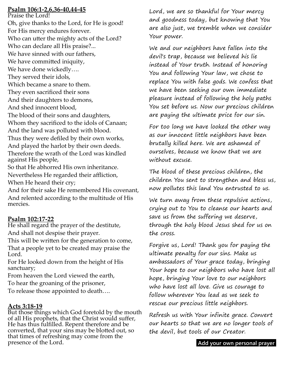#### **Psalm 106: 1-2,6,36-40,44-45**

Praise the Lord! Oh, give thanks to the Lord, for He is good! For His mercy endures forever. Who can utter the mighty acts of the Lord? Who can declare all His praise?... We have sinned with our fathers, We have committed iniquity, We have done wickedly…. They served their idols, Which became a snare to them. They even sacrificed their sons And their daughters to demons, And shed innocent blood, The blood of their sons and daughters, Whom they sacrificed to the idols of Canaan; And the land was polluted with blood. Thus they were defled by their own works, And played the harlot by their own deeds. Therefore the wrath of the Lord was kindled against His people, So that He abhorred His own inheritance. Nevertheless He regarded their affliction, When He heard their cry;

And for their sake He remembered His covenant, And relented according to the multitude of His mercies.

#### **Psalm 102:17-22**

He shall regard the prayer of the destitute, And shall not despise their prayer.

This will be written for the generation to come, That a people yet to be created may praise the Lord.

For He looked down from the height of His sanctuary;

From heaven the Lord viewed the earth,

To hear the groaning of the prisoner, To release those appointed to death….

#### **Acts 3:18-19**

But those things which God foretold by the mouth of all His prophets, that the Christ would sufer, He has thus fulflled. Repent therefore and be converted, that your sins may be bloted out, so that times of refreshing may come from the presence of the Lord.

Lord, we are so thankful for Your mercy and goodness today, but knowing that You are also just, we tremble when we consider Your power.

We and our neighbors have fallen into the devil's trap, because we believed his lie instead of Your truth. Instead of honoring You and following Your law, we chose to replace You with false gods. We confess that we have been seeking our own immediate pleasure instead of following the holy paths You set before us. Now our precious children are paying the ultimate price for our sin.

For too long we have looked the other way as our innocent little neighbors have been brutally killed here. We are ashamed of ourselves, because we know that we are without excuse.

The blood of these precious children, the children You sent to strengthen and bless us, now pollutes this land You entrusted to us.

We turn away from these repulsive actions, crying out to You to cleanse our hearts and save us from the suffering we deserve, through the holy blood Jesus shed for us on the cross.

Forgive us, Lord! Thank you for paying the ultimate penalty for our sins. Make us ambassadors of Your grace today, bringing Your hope to our neighbors who have lost all hope, bringing Your love to our neighbors who have lost all love. Give us courage to follow wherever You lead as we seek to rescue our precious little neighbors.

Refresh us with Your infinite grace. Convert our hearts so that we are no longer tools of the devil, but tools of our Creator.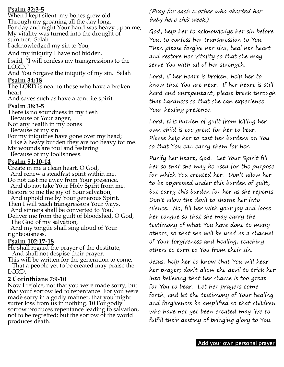#### **Psalm 32:3-5**

When I kept silent, my bones grew old Through my groaning all the day long. For day and night Your hand was heavy upon me; My vitality was turned into the drought of summer. Selah

I acknowledged my sin to You,

And my iniquity I have not hidden.

I said, "I will confess my transgressions to the LORD,"

And You forgave the iniquity of my sin. Selah **Psalm 34:18**

The LORD is near to those who have a broken heart,

And saves such as have a contrite spirit.

#### **Psalm 38:3-5**

There is no soundness in my flesh Because of Your anger,

Nor any health in my bones Because of my sin.

For my iniquities have gone over my head; Like a heavy burden they are too heavy for me. My wounds are foul and festering

Because of my foolishness.

#### **Psalm 51:10-14**

Create in me a clean heart, O God, And renew a steadfast spirit within me.

Do not cast me away from Your presence, And do not take Your Holy Spirit from me. Restore to me the joy of Your salvation,

And uphold me by Your generous Spirit. Then I will teach transgressors Your ways,

And sinners shall be converted to You.

Deliver me from the guilt of bloodshed, O God, The God of my salvation,

And my tongue shall sing aloud of Your righteousness.

#### **Psalm 102:17-18**

He shall regard the prayer of the destitute, And shall not despise their prayer.

This will be written for the generation to come, That a people yet to be created may praise the LORD.

#### **2 Corinthians 7:9-10**

Now I rejoice, not that you were made sorry, but that your sorrow led to repentance. For you were made sorry in a godly manner, that you might suffer loss from us in nothing. 10 For godly sorrow produces repentance leading to salvation, not to be regretted; but the sorrow of the world produces death.

(Pray for each mother who aborted her baby here this week.)

God, help her to acknowledge her sin before You, to confess her transgression to You. Then please forgive her sins, heal her heart and restore her vitality so that she may serve You with all of her strength.

Lord, if her heart is broken, help her to know that You are near. If her heart is still hard and unrepentant, please break through that hardness so that she can experience Your healing presence.

Lord, this burden of guilt from killing her own child is too great for her to bear. Please help her to cast her burdens on You so that You can carry them for her.

Purify her heart, God. Let Your Spirit fill her so that she may be used for the purpose for which You created her. Don't allow her to be oppressed under this burden of guilt, but carry this burden for her as she repents. Don't allow the devil to shame her into silence. No, fill her with your joy and loose her tongue so that she may carry the testimony of what You have done to many others, so that she will be used as a channel of Your forgiveness and healing, teaching others to turn to You from their sin.

Jesus, help her to know that You will hear her prayer; don't allow the devil to trick her into believing that her shame is too great for You to bear. Let her prayers come forth, and let the testimony of Your healing and forgiveness be amplified so that children who have not yet been created may live to fulfill their destiny of bringing glory to You.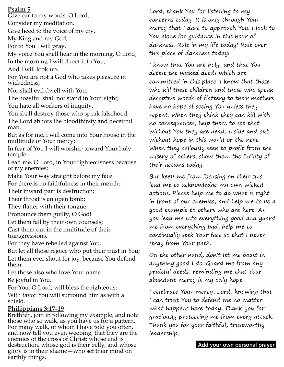Give ear to my words, O Lord, Consider my meditation. Give heed to the voice of my cry,

My King and my God,

For to You I will pray.

My voice You shall hear in the morning,  $O$  Lord;

In the morning I will direct it to You,

And I will look up.

For You are not a God who takes pleasure in wickedness,

Nor shall evil dwell with You.

The boastful shall not stand in Your sight; You hate all workers of iniquity.

You shall destroy those who speak falsehood; The Lord abhors the bloodthirsty and deceitful man.

But as for me, I will come into Your house in the multitude of Your mercy;

In fear of You I will worship toward Your holy temple.

Lead me, O Lord, in Your righteousness because of my enemies;

Make Your way straight before my face.

For there is no faithfulness in their mouth;

Their inward part is destruction;

Their throat is an open tomb;

They flatter with their tongue.

Pronounce them guilty, O God!

Let them fall by their own counsels;

Cast them out in the multitude of their transgressions,

For they have rebelled against You.

But let all those rejoice who put their trust in You; Let them ever shout for joy, because You defend them;

Let those also who love Your name Be joyful in You.

For You, O Lord, will bless the righteous; With favor You will surround him as with a shield.

#### **Philippians 3:17-19**

Brethren, join in following my example, and note those who so walk, as you have us for a patern. For many walk, of whom I have told you often, and now tell you even weeping, that they are the enemies of the cross of Christ: whose end is destruction, whose god is their belly, and whose glory is in their shame—who set their mind on earthly things.

Lord, thank You for listening to my concerns today. It is only through Your mercy that I dare to approach You. I look to You alone for guidance in this hour of darkness. Rule in my life today! Rule over this place of darkness today!

I know that You are holy, and that You detest the wicked deeds which are committed in this place. I know that those who kill these children and those who speak deceptive words of flattery to their mothers have no hope of seeing You unless they repent. When they think they can kill with no consequences, help them to see that without You they are dead, inside and out, without hope in this world or the next. When they callously seek to profit from the misery of others, show them the futility of their actions today.

But keep me from focusing on their sins: lead me to acknowledge my own wicked actions. Please help me to do what is right in front of our enemies, and help me to be a good example to others who are here. As you lead me into everything good and guard me from everything bad, help me to continually seek Your face so that I never stray from Your path.

On the other hand, don't let me boast in anything good I do. Guard me from any prideful deeds, reminding me that Your abundant mercy is my only hope.

I celebrate Your mercy, Lord, knowing that I can trust You to defend me no matter what happens here today. Thank you for graciously protecting me from every attack. Thank you for your faithful, trustworthy leadership.

 **Add your own personal prayer**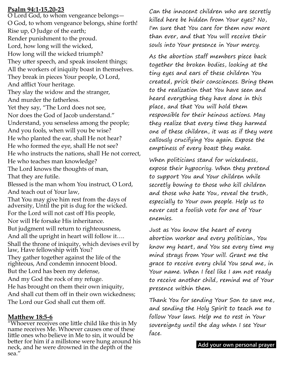**Psalm 94:1-15,20-23**  $\overline{O}$  Lord God, to whom vengeance belongs— O God, to whom vengeance belongs, shine forth! Rise up, O Judge of the earth; Render punishment to the proud. Lord, how long will the wicked, How long will the wicked triumph? They utter speech, and speak insolent things; All the workers of iniquity boast in themselves. They break in pieces Your people, O Lord, And afflict Your heritage. They slay the widow and the stranger, And murder the fatherless. Yet they say, "The Lord does not see, Nor does the God of Jacob understand." Understand, you senseless among the people; And you fools, when will you be wise? He who planted the ear, shall He not hear? He who formed the eye, shall He not see? He who instructs the nations, shall He not correct, He who teaches man knowledge? The Lord knows the thoughts of man, That they are futile. Blessed is the man whom You instruct, O Lord, And teach out of Your law, That You may give him rest from the days of adversity, Until the pit is dug for the wicked. For the Lord will not cast off His people, Nor will He forsake His inheritance. But judgment will return to righteousness, And all the upright in heart will follow it.... Shall the throne of iniquity, which devises evil by law, Have fellowship with You? They gather together against the life of the righteous, And condemn innocent blood. But the Lord has been my defense, And my God the rock of my refuge. He has brought on them their own iniquity, And shall cut them off in their own wickedness; The Lord our God shall cut them off.

#### **Matthew 18:5-6**

"Whoever receives one litle child like this in My name receives Me. Whoever causes one of these litle ones who believe in Me to sin, it would be better for him if a millstone were hung around his neck, and he were drowned in the depth of the sea."

Can the innocent children who are secretly killed here be hidden from Your eyes? No, I'm sure that You care for them now more than ever, and that You will receive their souls into Your presence in Your mercy.

As the abortion staff members piece back together the broken bodies, looking at the tiny eyes and ears of these children You created, prick their consciences. Bring them to the realization that You have seen and heard everything they have done in this place, and that You will hold them responsible for their heinous actions. May they realize that every time they harmed one of these children, it was as if they were callously crucifying You again. Expose the emptiness of every boast they make.

When politicians stand for wickedness, expose their hypocrisy. When they pretend to support You and Your children while secretly bowing to those who kill children and those who hate You, reveal the truth, especially to Your own people. Help us to never cast a foolish vote for one of Your enemies.

Just as You know the heart of every abortion worker and every politician, You know my heart, and You see every time my mind strays from Your will. Grant me the grace to receive every child You send me, in Your name. When I feel like I am not ready to receive another child, remind me of Your presence within them.

Thank You for sending Your Son to save me, and sending the Holy Spirit to teach me to follow Your laws. Help me to rest in Your sovereignty until the day when I see Your face.

 **Add your own personal prayer**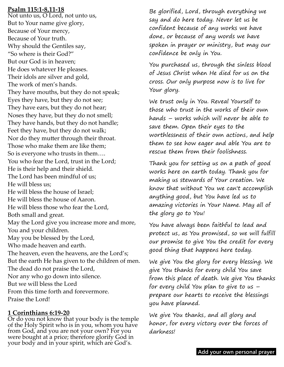#### **Psalm 115:1-8,11-18**

Not unto us, O Lord, not unto us, But to Your name give glory, Because of Your mercy, Because of Your truth. Why should the Gentiles say, "So where is their God?" But our God is in heaven; He does whatever He pleases. Their idols are silver and gold, The work of men's hands. They have mouths, but they do not speak; Eyes they have, but they do not see; They have ears, but they do not hear; Noses they have, but they do not smell; They have hands, but they do not handle; Feet they have, but they do not walk; Nor do they mutter through their throat. Those who make them are like them; So is everyone who trusts in them…. You who fear the Lord, trust in the Lord; He is their help and their shield. The Lord has been mindful of us; He will bless us; He will bless the house of Israel; He will bless the house of Aaron. He will bless those who fear the Lord, Both small and great. May the Lord give you increase more and more, You and your children. May you be blessed by the Lord, Who made heaven and earth. The heaven, even the heavens, are the Lord's; But the earth He has given to the children of men. The dead do not praise the Lord, Nor any who go down into silence. But we will bless the Lord From this time forth and forevermore. Praise the Lord!

#### **1 Corinthians 6:19-20**

Or do you not know that your body is the temple of the Holy Spirit who is in you, whom you have from God, and you are not your own? For you were bought at a price; therefore glorify God in your body and in your spirit, which are God's.

Be glorified, Lord, through everything we say and do here today. Never let us be confident because of any works we have done, or because of any words we have spoken in prayer or ministry, but may our confidence be only in You.

You purchased us, through the sinless blood of Jesus Christ when He died for us on the cross. Our only purpose now is to live for Your glory.

We trust only in You. Reveal Yourself to those who trust in the works of their own hands – works which will never be able to save them. Open their eyes to the worthlessness of their own actions, and help them to see how eager and able You are to rescue them from their foolishness.

Thank you for setting us on a path of good works here on earth today. Thank you for making us stewards of Your creation. We know that without You we can't accomplish anything good, but You have led us to amazing victories in Your Name. May all of the glory go to You!

You have always been faithful to lead and protect us, as You promised, so we will fulfill our promise to give You the credit for every good thing that happens here today.

We give You the glory for every blessing. We give You thanks for every child You save from this place of death. We give You thanks for every child You plan to give to us – prepare our hearts to receive the blessings you have planned.

We give You thanks, and all glory and honor, for every victory over the forces of darkness!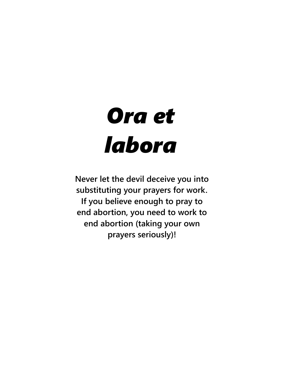# *Ora et labora*

**Never let the devil deceive you into substituting your prayers for work. If you believe enough to pray to end abortion, you need to work to end abortion (taking your own prayers seriously)!**